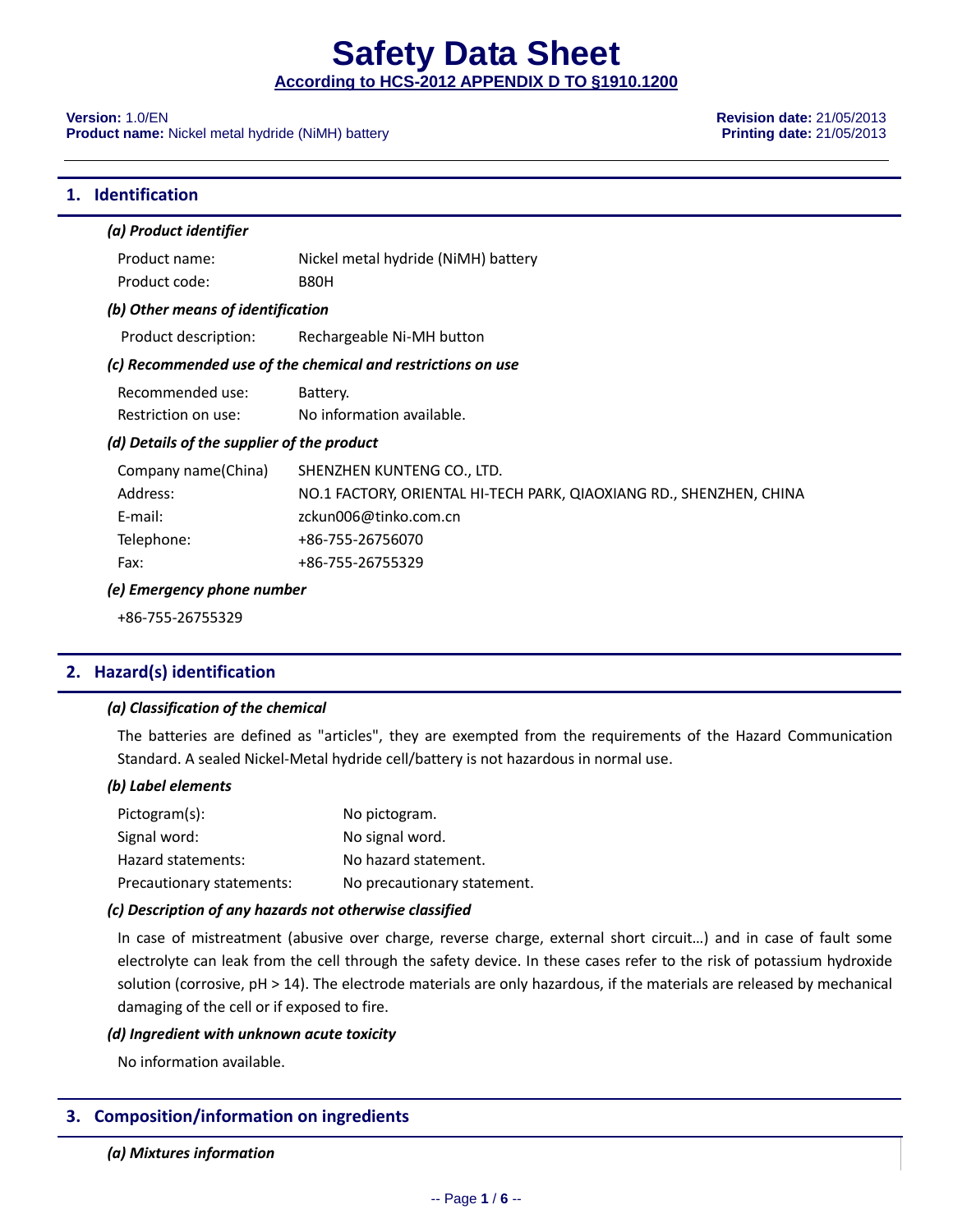**Safety Data Sheet**

**According to HCS-2012 APPENDIX D TO §1910.1200**

**Product name:** Nickel metal hydride (NiMH) battery **Product 100 and 21/05/2013 Printing date:** 21/05/2013

**Version:** 1.0/EN **Revision date:** 21/05/2013

#### **1. Identification**

| (a) Product identifier                     |                                                                     |
|--------------------------------------------|---------------------------------------------------------------------|
| Product name:                              | Nickel metal hydride (NiMH) battery                                 |
| Product code:                              | <b>B80H</b>                                                         |
| (b) Other means of identification          |                                                                     |
| Product description:                       | Rechargeable Ni-MH button                                           |
|                                            | (c) Recommended use of the chemical and restrictions on use         |
| Recommended use:                           | Battery.                                                            |
| Restriction on use:                        | No information available.                                           |
| (d) Details of the supplier of the product |                                                                     |
| Company name(China)                        | SHENZHEN KUNTENG CO., LTD.                                          |
| Address:                                   | NO.1 FACTORY, ORIENTAL HI-TECH PARK, QIAOXIANG RD., SHENZHEN, CHINA |
| E-mail:                                    | zckun006@tinko.com.cn                                               |
| Telephone:                                 | +86-755-26756070                                                    |
| Fax:                                       | +86-755-26755329                                                    |
| (e) Emergency phone number                 |                                                                     |
| +86-755-26755329                           |                                                                     |

#### **2. Hazard(s) identification**

#### *(a) Classification of the chemical*

The batteries are defined as "articles", they are exempted from the requirements of the Hazard Communication Standard. A sealed Nickel-Metal hydride cell/battery is not hazardous in normal use.

#### *(b) Label elements*

| Pictogram(s):             | No pictogram.               |
|---------------------------|-----------------------------|
| Signal word:              | No signal word.             |
| Hazard statements:        | No hazard statement.        |
| Precautionary statements: | No precautionary statement. |

#### *(c) Description of any hazards not otherwise classified*

In case of mistreatment (abusive over charge, reverse charge, external short circuit…) and in case of fault some electrolyte can leak from the cell through the safety device. In these cases refer to the risk of potassium hydroxide solution (corrosive, pH > 14). The electrode materials are only hazardous, if the materials are released by mechanical damaging of the cell or if exposed to fire.

#### *(d) Ingredient with unknown acute toxicity*

No information available.

#### **3. Composition/information on ingredients**

*(a) Mixtures information*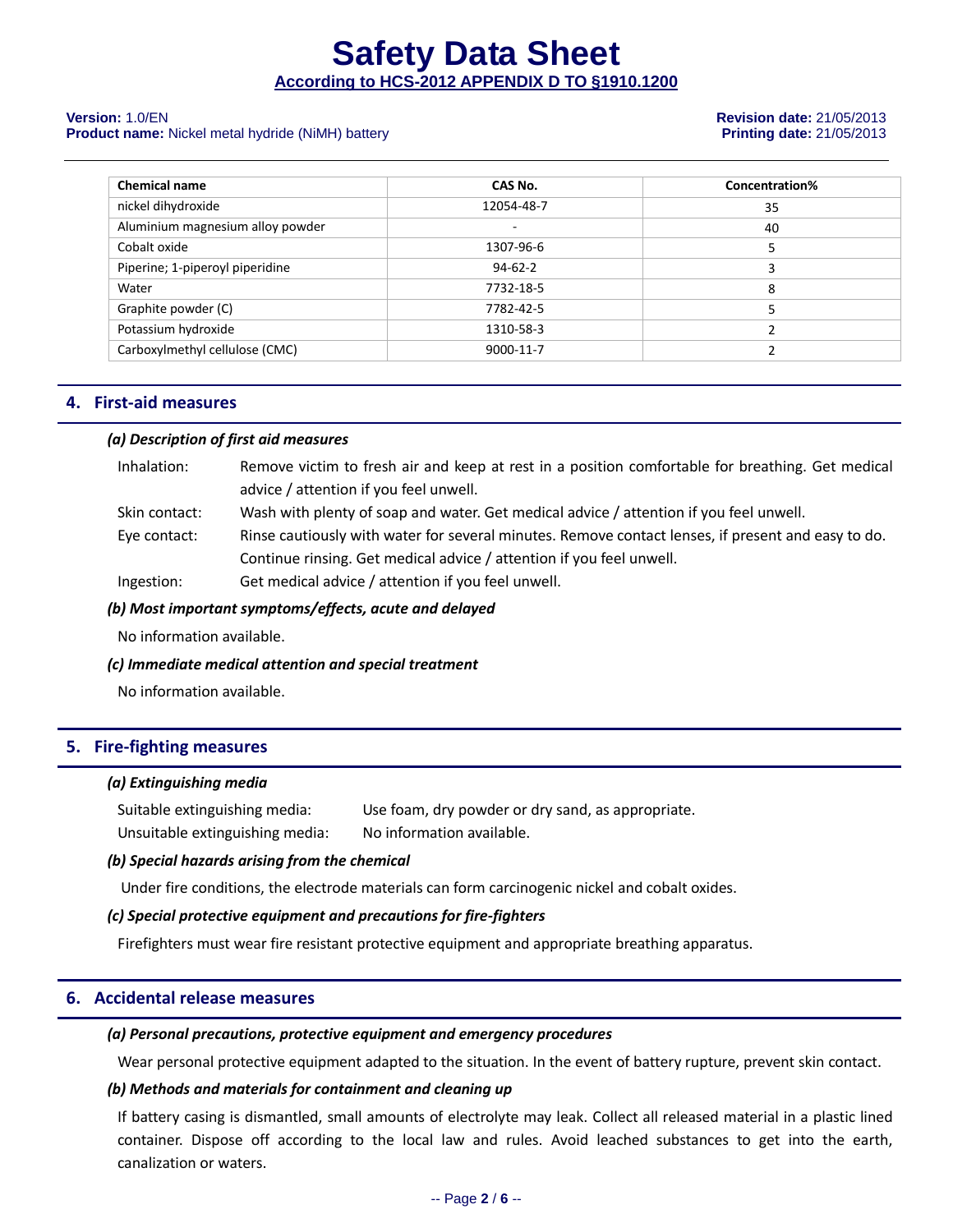#### **Product name:** Nickel metal hydride (NiMH) battery **Printing date:** 21/05/2013

# **Version:** 1.0/EN **Revision date:** 21/05/2013

| <b>Chemical name</b>             | CAS No.       | Concentration% |
|----------------------------------|---------------|----------------|
| nickel dihydroxide               | 12054-48-7    | 35             |
| Aluminium magnesium alloy powder | ۰             | 40             |
| Cobalt oxide                     | 1307-96-6     | 5              |
| Piperine; 1-piperoyl piperidine  | $94 - 62 - 2$ | 3              |
| Water                            | 7732-18-5     | 8              |
| Graphite powder (C)              | 7782-42-5     |                |
| Potassium hydroxide              | 1310-58-3     |                |
| Carboxylmethyl cellulose (CMC)   | 9000-11-7     |                |

#### **4. First-aid measures**

#### *(a) Description of first aid measures*

| Inhalation:   | Remove victim to fresh air and keep at rest in a position comfortable for breathing. Get medical   |
|---------------|----------------------------------------------------------------------------------------------------|
|               | advice / attention if you feel unwell.                                                             |
| Skin contact: | Wash with plenty of soap and water. Get medical advice / attention if you feel unwell.             |
| Eye contact:  | Rinse cautiously with water for several minutes. Remove contact lenses, if present and easy to do. |
|               | Continue rinsing. Get medical advice / attention if you feel unwell.                               |
| Ingestion:    | Get medical advice / attention if you feel unwell.                                                 |

#### *(b) Most important symptoms/effects, acute and delayed*

No information available.

#### *(c) Immediate medical attention and special treatment*

No information available.

#### **5. Fire-fighting measures**

#### *(a) Extinguishing media*

Suitable extinguishing media: Use foam, dry powder or dry sand, as appropriate. Unsuitable extinguishing media: No information available.

#### *(b) Special hazards arising from the chemical*

Under fire conditions, the electrode materials can form carcinogenic nickel and cobalt oxides.

#### *(c) Special protective equipment and precautions for fire-fighters*

Firefighters must wear fire resistant protective equipment and appropriate breathing apparatus.

#### **6. Accidental release measures**

#### *(a) Personal precautions, protective equipment and emergency procedures*

Wear personal protective equipment adapted to the situation. In the event of battery rupture, prevent skin contact.

#### *(b) Methods and materials for containment and cleaning up*

If battery casing is dismantled, small amounts of electrolyte may leak. Collect all released material in a plastic lined container. Dispose off according to the local law and rules. Avoid leached substances to get into the earth, canalization or waters.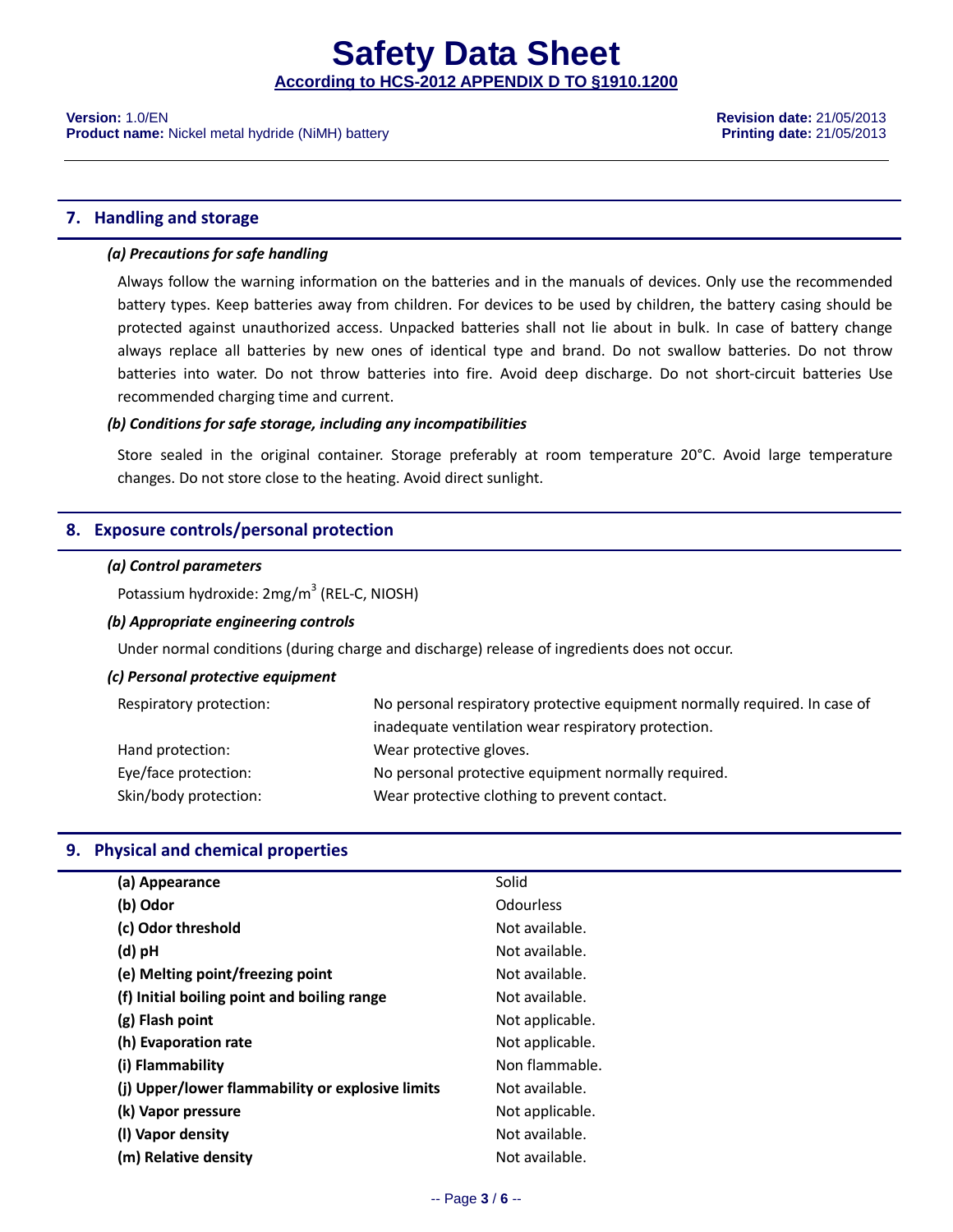#### **7. Handling and storage**

#### *(a) Precautions for safe handling*

Always follow the warning information on the batteries and in the manuals of devices. Only use the recommended battery types. Keep batteries away from children. For devices to be used by children, the battery casing should be protected against unauthorized access. Unpacked batteries shall not lie about in bulk. In case of battery change always replace all batteries by new ones of identical type and brand. Do not swallow batteries. Do not throw batteries into water. Do not throw batteries into fire. Avoid deep discharge. Do not short-circuit batteries Use recommended charging time and current.

#### *(b) Conditions for safe storage, including any incompatibilities*

Store sealed in the original container. Storage preferably at room temperature 20°C. Avoid large temperature changes. Do not store close to the heating. Avoid direct sunlight.

#### **8. Exposure controls/personal protection**

#### *(a) Control parameters*

Potassium hydroxide: 2mg/m<sup>3</sup> (REL-C, NIOSH)

#### *(b) Appropriate engineering controls*

Under normal conditions (during charge and discharge) release of ingredients does not occur.

#### *(c) Personal protective equipment*

| Respiratory protection: | No personal respiratory protective equipment normally required. In case of |
|-------------------------|----------------------------------------------------------------------------|
|                         | inadequate ventilation wear respiratory protection.                        |
| Hand protection:        | Wear protective gloves.                                                    |
| Eye/face protection:    | No personal protective equipment normally required.                        |
| Skin/body protection:   | Wear protective clothing to prevent contact.                               |

#### **9. Physical and chemical properties**

| Solid            |
|------------------|
| <b>Odourless</b> |
| Not available.   |
| Not available.   |
| Not available.   |
| Not available.   |
| Not applicable.  |
| Not applicable.  |
| Non flammable.   |
| Not available.   |
| Not applicable.  |
| Not available.   |
| Not available.   |
|                  |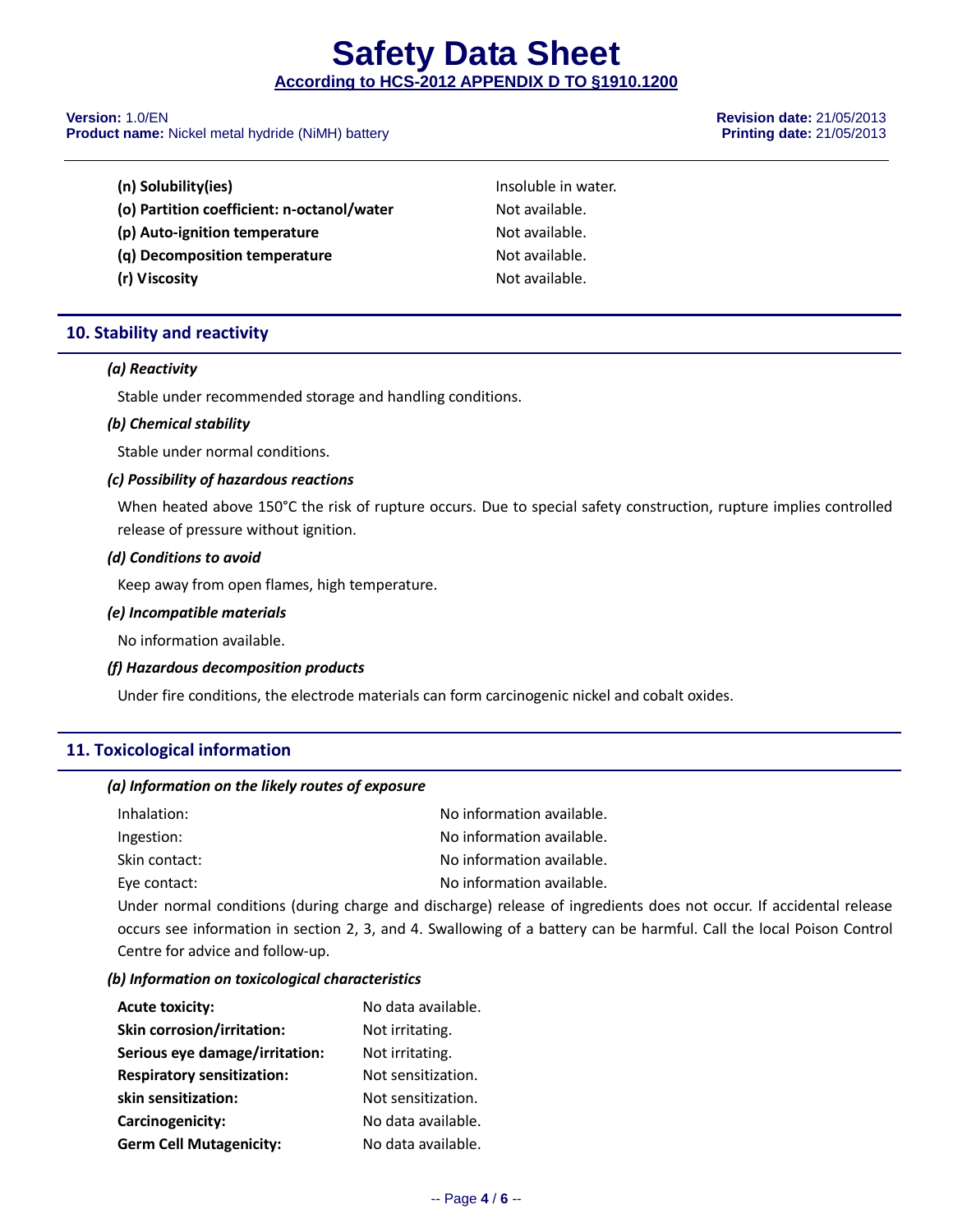**Product name:** Nickel metal hydride (NiMH) battery **Product 100 and 21/05/2013 Printing date:** 21/05/2013

**Version:** 1.0/EN **Revision date:** 21/05/2013

| (n) Solubility(ies)                        | Insoluble in water. |
|--------------------------------------------|---------------------|
| (o) Partition coefficient: n-octanol/water | Not available.      |
| (p) Auto-ignition temperature              | Not available.      |
| (q) Decomposition temperature              | Not available.      |
| (r) Viscosity                              | Not available.      |

### **10. Stability and reactivity**

#### *(a) Reactivity*

Stable under recommended storage and handling conditions.

#### *(b) Chemical stability*

Stable under normal conditions.

#### *(c) Possibility of hazardous reactions*

When heated above 150°C the risk of rupture occurs. Due to special safety construction, rupture implies controlled release of pressure without ignition.

#### *(d) Conditions to avoid*

Keep away from open flames, high temperature.

#### *(e) Incompatible materials*

No information available.

#### *(f) Hazardous decomposition products*

Under fire conditions, the electrode materials can form carcinogenic nickel and cobalt oxides.

### **11. Toxicological information**

#### *(a) Information on the likely routes of exposure*

| Inhalation:   | No information available. |
|---------------|---------------------------|
| Ingestion:    | No information available. |
| Skin contact: | No information available. |
| Eye contact:  | No information available. |

Under normal conditions (during charge and discharge) release of ingredients does not occur. If accidental release occurs see information in section 2, 3, and 4. Swallowing of a battery can be harmful. Call the local Poison Control Centre for advice and follow-up.

#### *(b) Information on toxicological characteristics*

| <b>Acute toxicity:</b>            | No data available. |
|-----------------------------------|--------------------|
| <b>Skin corrosion/irritation:</b> | Not irritating.    |
| Serious eye damage/irritation:    | Not irritating.    |
| <b>Respiratory sensitization:</b> | Not sensitization. |
| skin sensitization:               | Not sensitization. |
| Carcinogenicity:                  | No data available. |
| <b>Germ Cell Mutagenicity:</b>    | No data available. |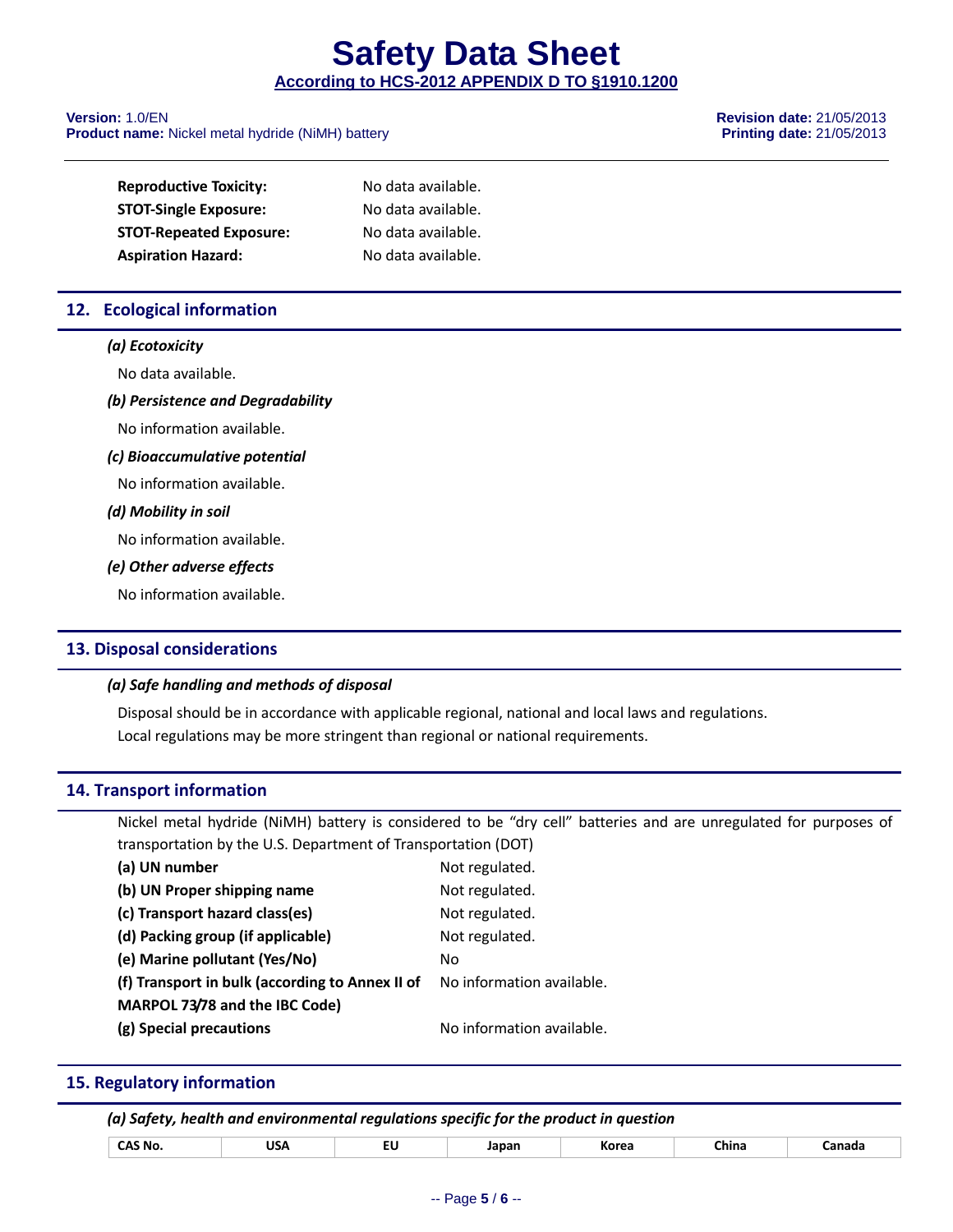#### **Version:** 1.0/EN **Revision date:** 21/05/2013 **Product name:** Nickel metal hydride (NiMH) battery **Product 100 and 21/05/2013 Printing date:** 21/05/2013

| <b>Reproductive Toxicity:</b>  | No data available. |
|--------------------------------|--------------------|
| <b>STOT-Single Exposure:</b>   | No data available. |
| <b>STOT-Repeated Exposure:</b> | No data available. |
| <b>Aspiration Hazard:</b>      | No data available. |

### **12. Ecological information**

#### *(a) Ecotoxicity*

No data available.

#### *(b) Persistence and Degradability*

No information available.

#### *(c) Bioaccumulative potential*

No information available.

#### *(d) Mobility in soil*

No information available.

#### *(e) Other adverse effects*

No information available.

#### **13. Disposal considerations**

#### *(a) Safe handling and methods of disposal*

Disposal should be in accordance with applicable regional, national and local laws and regulations. Local regulations may be more stringent than regional or national requirements.

#### **14. Transport information**

Nickel metal hydride (NiMH) battery is considered to be "dry cell" batteries and are unregulated for purposes of transportation by the U.S. Department of Transportation (DOT)

| (a) UN number                                   | Not regulated.            |
|-------------------------------------------------|---------------------------|
| (b) UN Proper shipping name                     | Not regulated.            |
| (c) Transport hazard class(es)                  | Not regulated.            |
| (d) Packing group (if applicable)               | Not regulated.            |
| (e) Marine pollutant (Yes/No)                   | Nο                        |
| (f) Transport in bulk (according to Annex II of | No information available. |
| MARPOL 73/78 and the IBC Code)                  |                           |
| (g) Special precautions                         | No information available. |

#### **15. Regulatory information**

| (a) Safety, health and environmental regulations specific for the product in question |  |
|---------------------------------------------------------------------------------------|--|
|---------------------------------------------------------------------------------------|--|

| --<br>'JSA<br>ົ AS No.<br>∵ิhina<br>Japar<br>`anada<br>Korea<br>.<br>$ -$<br>$ -$<br>___ |
|------------------------------------------------------------------------------------------|
|------------------------------------------------------------------------------------------|